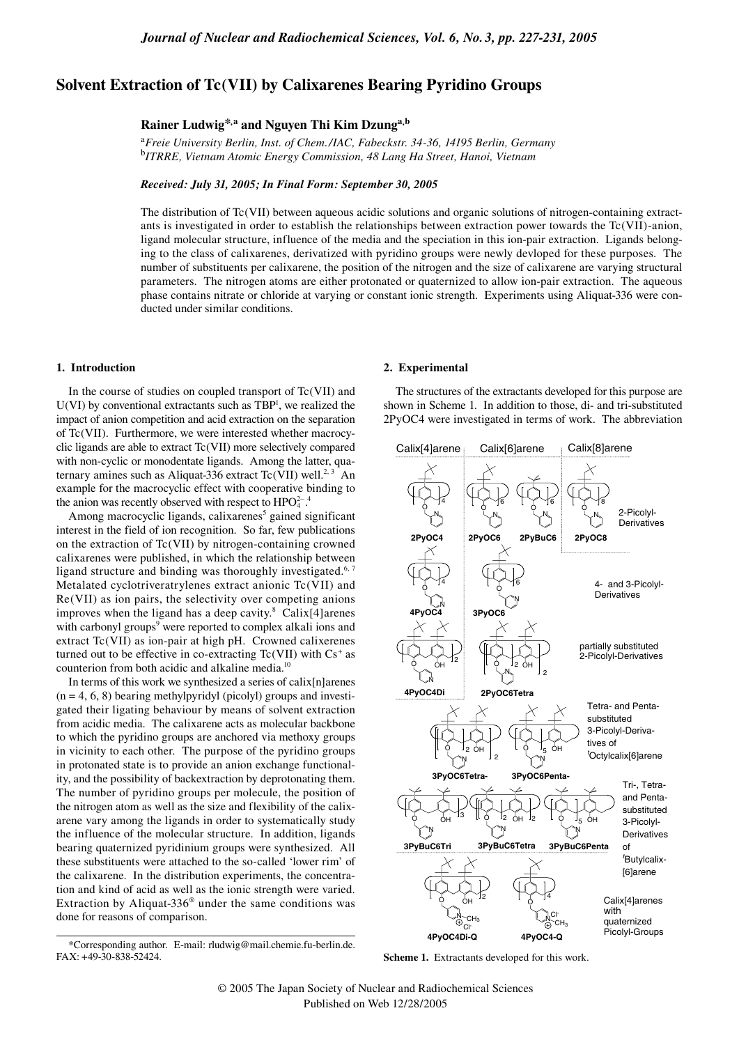# **Solvent Extraction of Tc(VII) by Calixarenes Bearing Pyridino Groups**

## **Rainer Ludwig\*,a and Nguyen Thi Kim Dzunga,b**

a *Freie University Berlin, Inst. of Chem./IAC, Fabeckstr. 34-36, 14195 Berlin, Germany* b *ITRRE, Vietnam Atomic Energy Commission, 48 Lang Ha Street, Hanoi, Vietnam*

## *Received: July 31, 2005; In Final Form: September 30, 2005*

The distribution of Tc(VII) between aqueous acidic solutions and organic solutions of nitrogen-containing extractants is investigated in order to establish the relationships between extraction power towards the Tc(VII)-anion, ligand molecular structure, influence of the media and the speciation in this ion-pair extraction. Ligands belonging to the class of calixarenes, derivatized with pyridino groups were newly devloped for these purposes. The number of substituents per calixarene, the position of the nitrogen and the size of calixarene are varying structural parameters. The nitrogen atoms are either protonated or quaternized to allow ion-pair extraction. The aqueous phase contains nitrate or chloride at varying or constant ionic strength. Experiments using Aliquat-336 were conducted under similar conditions.

## **1. Introduction**

In the course of studies on coupled transport of Tc(VII) and  $U(VI)$  by conventional extractants such as  $TBP<sup>1</sup>$ , we realized the impact of anion competition and acid extraction on the separation of Tc(VII). Furthermore, we were interested whether macrocyclic ligands are able to extract Tc(VII) more selectively compared with non-cyclic or monodentate ligands. Among the latter, quaternary amines such as Aliquat-336 extract Tc(VII) well.<sup>2, 3</sup> An example for the macrocyclic effect with cooperative binding to the anion was recently observed with respect to  $HPO_4^{2-}$ .<sup>4</sup>

Among macrocyclic ligands, calixarenes<sup>5</sup> gained significant interest in the field of ion recognition. So far, few publications on the extraction of Tc(VII) by nitrogen-containing crowned calixarenes were published, in which the relationship between ligand structure and binding was thoroughly investigated.<sup>6, 7</sup> Metalated cyclotriveratrylenes extract anionic Tc(VII) and Re(VII) as ion pairs, the selectivity over competing anions improves when the ligand has a deep cavity. $8 \text{ Calix}[4]$ arenes with carbonyl groups<sup>9</sup> were reported to complex alkali ions and extract Tc(VII) as ion-pair at high pH. Crowned calixerenes turned out to be effective in co-extracting  $Tc(VII)$  with  $Cs<sup>+</sup>$  as counterion from both acidic and alkaline media.10

In terms of this work we synthesized a series of calix[n]arenes  $(n = 4, 6, 8)$  bearing methylpyridyl (picolyl) groups and investigated their ligating behaviour by means of solvent extraction from acidic media. The calixarene acts as molecular backbone to which the pyridino groups are anchored via methoxy groups in vicinity to each other. The purpose of the pyridino groups in protonated state is to provide an anion exchange functionality, and the possibility of backextraction by deprotonating them. The number of pyridino groups per molecule, the position of the nitrogen atom as well as the size and flexibility of the calixarene vary among the ligands in order to systematically study the influence of the molecular structure. In addition, ligands bearing quaternized pyridinium groups were synthesized. All these substituents were attached to the so-called 'lower rim' of the calixarene. In the distribution experiments, the concentration and kind of acid as well as the ionic strength were varied. Extraction by Aliquat-336® under the same conditions was done for reasons of comparison.

#### **2. Experimental**

The structures of the extractants developed for this purpose are shown in Scheme 1. In addition to those, di- and tri-substituted 2PyOC4 were investigated in terms of work. The abbreviation





<sup>\*</sup>Corresponding author. E-mail: rludwig@mail.chemie.fu-berlin.de. FAX: +49-30-838-52424.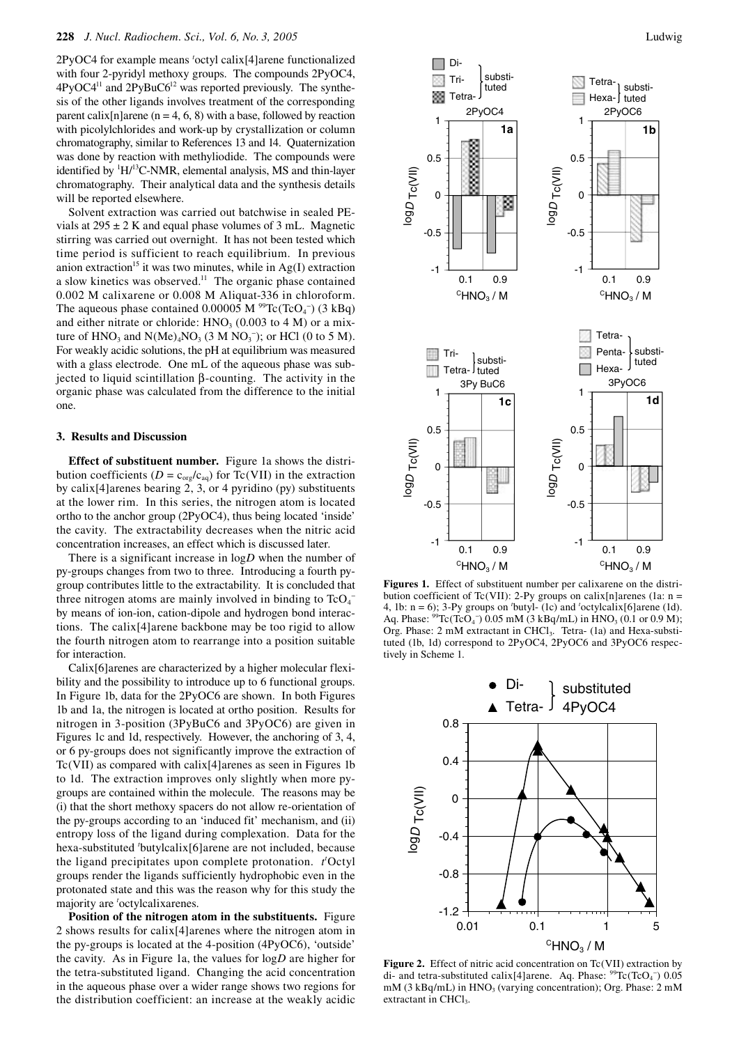2PyOC4 for example means *<sup>t</sup>* octyl calix[4]arene functionalized with four 2-pyridyl methoxy groups. The compounds 2PyOC4, 4PyOC4<sup>11</sup> and 2PyBuC6<sup>12</sup> was reported previously. The synthesis of the other ligands involves treatment of the corresponding parent calix[n]arene ( $n = 4, 6, 8$ ) with a base, followed by reaction with picolylchlorides and work-up by crystallization or column chromatography, similar to References 13 and 14. Quaternization was done by reaction with methyliodide. The compounds were identified by <sup>1</sup>H/<sup>13</sup>C-NMR, elemental analysis, MS and thin-layer chromatography. Their analytical data and the synthesis details will be reported elsewhere.

Solvent extraction was carried out batchwise in sealed PEvials at  $295 \pm 2$  K and equal phase volumes of 3 mL. Magnetic stirring was carried out overnight. It has not been tested which time period is sufficient to reach equilibrium. In previous anion extraction<sup>15</sup> it was two minutes, while in  $Ag(I)$  extraction a slow kinetics was observed.<sup>11</sup> The organic phase contained 0.002 M calixarene or 0.008 M Aliquat-336 in chloroform. The aqueous phase contained  $0.00005 \text{ M}$ <sup>99</sup>Tc(TcO<sub>4</sub><sup>-</sup>) (3 kBq) and either nitrate or chloride:  $HNO<sub>3</sub>$  (0.003 to 4 M) or a mixture of  $HNO<sub>3</sub>$  and  $N(Me)<sub>4</sub>NO<sub>3</sub>$  (3 M  $NO<sub>3</sub><sup>-</sup>$ ); or HCl (0 to 5 M). For weakly acidic solutions, the pH at equilibrium was measured with a glass electrode. One mL of the aqueous phase was subjected to liquid scintillation β-counting. The activity in the organic phase was calculated from the difference to the initial one.

### **3. Results and Discussion**

**Effect of substituent number.** Figure 1a shows the distribution coefficients ( $D = c_{org}/c_{aq}$ ) for Tc(VII) in the extraction by calix[4]arenes bearing 2, 3, or 4 pyridino (py) substituents at the lower rim. In this series, the nitrogen atom is located ortho to the anchor group (2PyOC4), thus being located 'inside' the cavity. The extractability decreases when the nitric acid concentration increases, an effect which is discussed later.

There is a significant increase in log*D* when the number of py-groups changes from two to three. Introducing a fourth pygroup contributes little to the extractability. It is concluded that three nitrogen atoms are mainly involved in binding to  $TcO<sub>4</sub>$ <sup>-</sup> by means of ion-ion, cation-dipole and hydrogen bond interactions. The calix[4]arene backbone may be too rigid to allow the fourth nitrogen atom to rearrange into a position suitable for interaction.

Calix[6]arenes are characterized by a higher molecular flexibility and the possibility to introduce up to 6 functional groups. In Figure 1b, data for the 2PyOC6 are shown. In both Figures 1b and 1a, the nitrogen is located at ortho position. Results for nitrogen in 3-position (3PyBuC6 and 3PyOC6) are given in Figures 1c and 1d, respectively. However, the anchoring of 3, 4, or 6 py-groups does not significantly improve the extraction of Tc(VII) as compared with calix[4]arenes as seen in Figures 1b to 1d. The extraction improves only slightly when more pygroups are contained within the molecule. The reasons may be (i) that the short methoxy spacers do not allow re-orientation of the py-groups according to an 'induced fit' mechanism, and (ii) entropy loss of the ligand during complexation. Data for the hexa-substituted *<sup>t</sup>* butylcalix[6]arene are not included, because the ligand precipitates upon complete protonation. *t t* Octyl groups render the ligands sufficiently hydrophobic even in the protonated state and this was the reason why for this study the majority are *<sup>t</sup>* octylcalixarenes.

**Position of the nitrogen atom in the substituents.** Figure 2 shows results for calix[4]arenes where the nitrogen atom in the py-groups is located at the 4-position (4PyOC6), 'outside' the cavity. As in Figure 1a, the values for log*D* are higher for the tetra-substituted ligand. Changing the acid concentration in the aqueous phase over a wider range shows two regions for the distribution coefficient: an increase at the weakly acidic



**Figures 1.** Effect of substituent number per calixarene on the distribution coefficient of Tc(VII): 2-Py groups on calix[n]arenes (1a:  $n =$ 4, 1b:  $n = 6$ ); 3-Py groups on 'butyl- (1c) and 'octylcalix[6]arene (1d). Aq. Phase:  ${}^{99}$ Tc(TcO<sub>4</sub><sup>-</sup>) 0.05 mM (3 kBq/mL) in HNO<sub>3</sub> (0.1 or 0.9 M); Org. Phase: 2 mM extractant in CHCl<sub>3</sub>. Tetra- (1a) and Hexa-substituted (1b, 1d) correspond to 2PyOC4, 2PyOC6 and 3PyOC6 respectively in Scheme 1.



**Figure 2.** Effect of nitric acid concentration on Tc(VII) extraction by di- and tetra-substituted calix[4]arene. Aq. Phase:  $^{99}$ Tc(TcO<sub>4</sub><sup>-</sup>) 0.05  $mM$  (3 kBq/mL) in HNO<sub>3</sub> (varying concentration); Org. Phase: 2 mM extractant in CHCl<sub>3</sub>.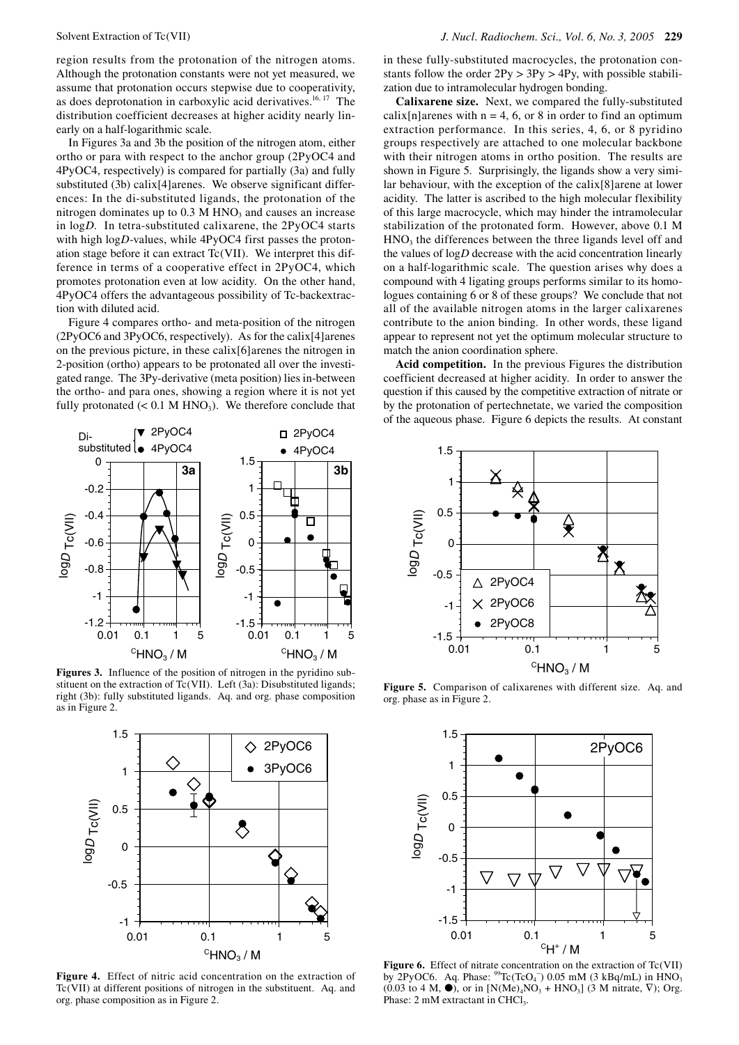region results from the protonation of the nitrogen atoms. Although the protonation constants were not yet measured, we assume that protonation occurs stepwise due to cooperativity, as does deprotonation in carboxylic acid derivatives.<sup>16, 17</sup> The distribution coefficient decreases at higher acidity nearly linearly on a half-logarithmic scale.

In Figures 3a and 3b the position of the nitrogen atom, either ortho or para with respect to the anchor group (2PyOC4 and 4PyOC4, respectively) is compared for partially (3a) and fully substituted (3b) calix[4]arenes. We observe significant differences: In the di-substituted ligands, the protonation of the nitrogen dominates up to  $0.3$  M HNO<sub>3</sub> and causes an increase in log*D*. In tetra-substituted calixarene, the 2PyOC4 starts with high log*D*-values, while 4PyOC4 first passes the protonation stage before it can extract Tc(VII). We interpret this difference in terms of a cooperative effect in 2PyOC4, which promotes protonation even at low acidity. On the other hand, 4PyOC4 offers the advantageous possibility of Tc-backextraction with diluted acid.

Figure 4 compares ortho- and meta-position of the nitrogen (2PyOC6 and 3PyOC6, respectively). As for the calix[4]arenes on the previous picture, in these calix[6]arenes the nitrogen in 2-position (ortho) appears to be protonated all over the investigated range. The 3Py-derivative (meta position) lies in-between the ortho- and para ones, showing a region where it is not yet fully protonated  $(< 0.1$  M HNO<sub>3</sub>). We therefore conclude that



**Figures 3.** Influence of the position of nitrogen in the pyridino substituent on the extraction of Tc(VII). Left (3a): Disubstituted ligands; right (3b): fully substituted ligands. Aq. and org. phase composition as in Figure 2.



**Figure 4.** Effect of nitric acid concentration on the extraction of Tc(VII) at different positions of nitrogen in the substituent. Aq. and org. phase composition as in Figure 2.

in these fully-substituted macrocycles, the protonation constants follow the order  $2Py > 3Py > 4Py$ , with possible stabilization due to intramolecular hydrogen bonding.

**Calixarene size.**Next, we compared the fully-substituted calix[n]arenes with  $n = 4, 6$ , or 8 in order to find an optimum extraction performance. In this series, 4, 6, or 8 pyridino groups respectively are attached to one molecular backbone with their nitrogen atoms in ortho position. The results are shown in Figure 5. Surprisingly, the ligands show a very similar behaviour, with the exception of the calix[8]arene at lower acidity. The latter is ascribed to the high molecular flexibility of this large macrocycle, which may hinder the intramolecular stabilization of the protonated form. However, above 0.1 M HNO<sub>3</sub> the differences between the three ligands level off and the values of log*D* decrease with the acid concentration linearly on a half-logarithmic scale. The question arises why does a compound with 4 ligating groups performs similar to its homologues containing 6 or 8 of these groups? We conclude that not all of the available nitrogen atoms in the larger calixarenes contribute to the anion binding. In other words, these ligand appear to represent not yet the optimum molecular structure to match the anion coordination sphere.

**Acid competition.** In the previous Figures the distribution coefficient decreased at higher acidity. In order to answer the question if this caused by the competitive extraction of nitrate or by the protonation of pertechnetate, we varied the composition of the aqueous phase. Figure 6 depicts the results. At constant



**Figure 5.** Comparison of calixarenes with different size. Aq. and org. phase as in Figure 2.



**Figure 6.** Effect of nitrate concentration on the extraction of Tc(VII) by 2PyOC6. Aq. Phase:  $^{99}$ Tc(TcO<sub>4</sub><sup>-</sup>) 0.05 mM (3 kBq/mL) in HNO<sub>3</sub> (0.03 to 4 M,  $\bullet$ ), or in [N(Me)<sub>4</sub>NO<sub>3</sub> + HNO<sub>3</sub>] (3 M nitrate,  $\nabla$ ); Org. Phase: 2 mM extractant in CHCl<sub>3</sub>.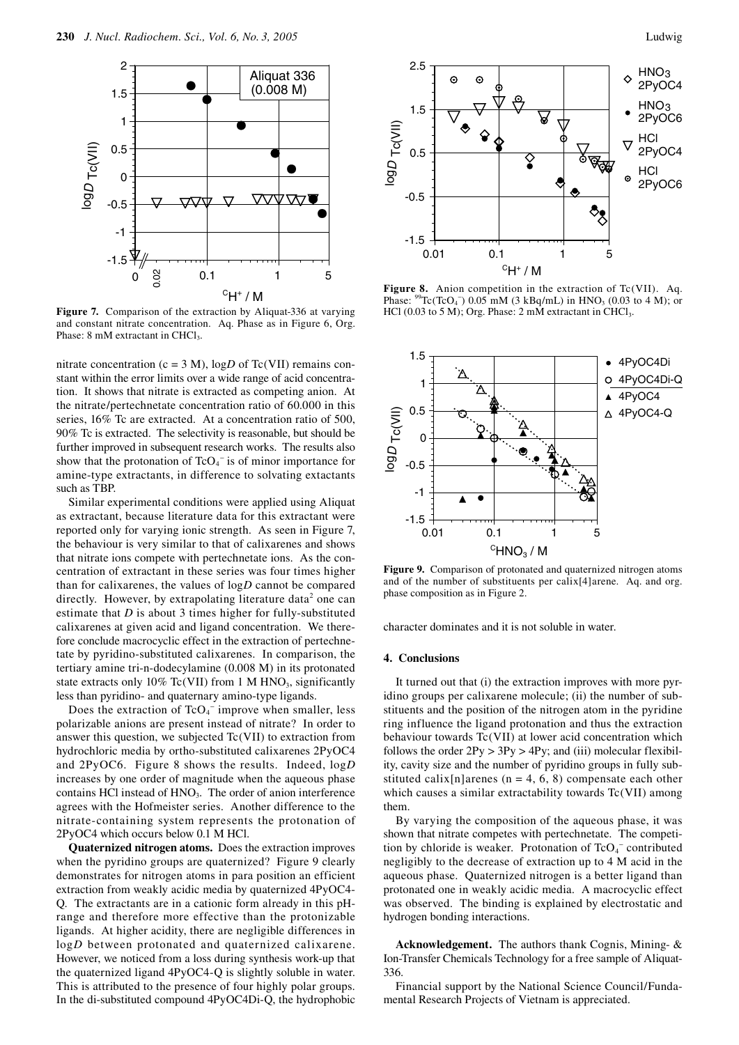

**Figure 7.** Comparison of the extraction by Aliquat-336 at varying and constant nitrate concentration. Aq. Phase as in Figure 6, Org. Phase: 8 mM extractant in CHCl<sub>3</sub>.

nitrate concentration ( $c = 3$  M),  $logD$  of Tc(VII) remains constant within the error limits over a wide range of acid concentration. It shows that nitrate is extracted as competing anion. At the nitrate/pertechnetate concentration ratio of 60.000 in this series, 16% Tc are extracted. At a concentration ratio of 500, 90% Tc is extracted. The selectivity is reasonable, but should be further improved in subsequent research works. The results also show that the protonation of  $TcO_4^-$  is of minor importance for amine-type extractants, in difference to solvating extactants such as TBP.

Similar experimental conditions were applied using Aliquat as extractant, because literature data for this extractant were reported only for varying ionic strength. As seen in Figure 7, the behaviour is very similar to that of calixarenes and shows that nitrate ions compete with pertechnetate ions. As the concentration of extractant in these series was four times higher than for calixarenes, the values of log*D* cannot be compared directly. However, by extrapolating literature data<sup>2</sup> one can estimate that *D* is about 3 times higher for fully-substituted calixarenes at given acid and ligand concentration. We therefore conclude macrocyclic effect in the extraction of pertechnetate by pyridino-substituted calixarenes. In comparison, the tertiary amine tri-n-dodecylamine (0.008 M) in its protonated state extracts only 10% Tc(VII) from 1 M HNO<sub>3</sub>, significantly less than pyridino- and quaternary amino-type ligands.

Does the extraction of  $TcO<sub>4</sub><sup>-</sup>$  improve when smaller, less polarizable anions are present instead of nitrate? In order to answer this question, we subjected Tc(VII) to extraction from hydrochloric media by ortho-substituted calixarenes 2PyOC4 and 2PyOC6. Figure 8 shows the results. Indeed, log*D* increases by one order of magnitude when the aqueous phase contains HCl instead of HNO<sub>3</sub>. The order of anion interference agrees with the Hofmeister series. Another difference to the nitrate-containing system represents the protonation of 2PyOC4 which occurs below 0.1 M HCl.

**Quaternized nitrogen atoms.** Does the extraction improves when the pyridino groups are quaternized? Figure 9 clearly demonstrates for nitrogen atoms in para position an efficient extraction from weakly acidic media by quaternized 4PyOC4- Q. The extractants are in a cationic form already in this pHrange and therefore more effective than the protonizable ligands. At higher acidity, there are negligible differences in log*D* between protonated and quaternized calixarene. However, we noticed from a loss during synthesis work-up that the quaternized ligand 4PyOC4-Q is slightly soluble in water. This is attributed to the presence of four highly polar groups. In the di-substituted compound 4PyOC4Di-Q, the hydrophobic



Figure 8. Anion competition in the extraction of Tc(VII). Aq. Phase:  $^{99}$ Tc(TcO<sub>4</sub><sup>-</sup>) 0.05 mM (3 kBq/mL) in HNO<sub>3</sub> (0.03 to 4 M); or HCl  $(0.03 \text{ to } 5 \text{ M})$ ; Org. Phase: 2 mM extractant in CHCl<sub>3</sub>.



**Figure 9.** Comparison of protonated and quaternized nitrogen atoms and of the number of substituents per calix[4]arene. Aq. and org. phase composition as in Figure 2.

character dominates and it is not soluble in water.

## **4. Conclusions**

It turned out that (i) the extraction improves with more pyridino groups per calixarene molecule; (ii) the number of substituents and the position of the nitrogen atom in the pyridine ring influence the ligand protonation and thus the extraction behaviour towards Tc(VII) at lower acid concentration which follows the order  $2Py > 3Py > 4Py$ ; and (iii) molecular flexibility, cavity size and the number of pyridino groups in fully substituted calix[n]arenes ( $n = 4, 6, 8$ ) compensate each other which causes a similar extractability towards Tc(VII) among them.

By varying the composition of the aqueous phase, it was shown that nitrate competes with pertechnetate. The competition by chloride is weaker. Protonation of  $TcO<sub>4</sub>^-$  contributed negligibly to the decrease of extraction up to 4 M acid in the aqueous phase. Quaternized nitrogen is a better ligand than protonated one in weakly acidic media. A macrocyclic effect was observed. The binding is explained by electrostatic and hydrogen bonding interactions.

**Acknowledgement.** The authors thank Cognis, Mining- & Ion-Transfer Chemicals Technology for a free sample of Aliquat-336.

Financial support by the National Science Council/Fundamental Research Projects of Vietnam is appreciated.